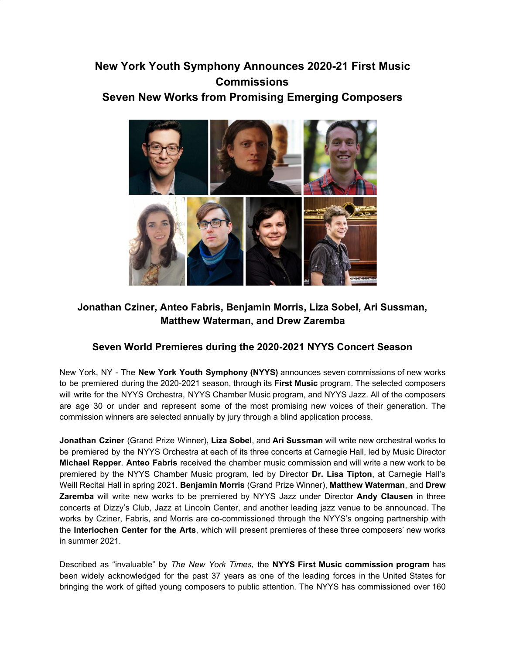# **New York Youth Symphony Announces 2020-21 First Music Commissions Seven New Works from Promising Emerging Composers**



## **Jonathan Cziner, Anteo Fabris, Benjamin Morris, Liza Sobel, Ari Sussman, Matthew Waterman, and Drew Zaremba**

## **Seven World Premieres during the 2020-2021 NYYS Concert Season**

New York, NY - The **New York Youth Symphony (NYYS)** announces seven commissions of new works to be premiered during the 2020-2021 season, through its **First Music** program. The selected composers will write for the NYYS Orchestra, NYYS Chamber Music program, and NYYS Jazz. All of the composers are age 30 or under and represent some of the most promising new voices of their generation. The commission winners are selected annually by jury through a blind application process.

**Jonathan Cziner** (Grand Prize Winner), **Liza Sobel**, and **Ari Sussman** will write new orchestral works to be premiered by the NYYS Orchestra at each of its three concerts at Carnegie Hall, led by Music Director **Michael Repper**. **Anteo Fabris** received the chamber music commission and will write a new work to be premiered by the NYYS Chamber Music program, led by Director **Dr. Lisa Tipton**, at Carnegie Hall's Weill Recital Hall in spring 2021. **Benjamin Morris** (Grand Prize Winner), **Matthew Waterman**, and **Drew Zaremba** will write new works to be premiered by NYYS Jazz under Director **Andy Clausen** in three concerts at Dizzy's Club, Jazz at Lincoln Center, and another leading jazz venue to be announced. The works by Cziner, Fabris, and Morris are co-commissioned through the NYYS's ongoing partnership with the **Interlochen Center for the Arts**, which will present premieres of these three composers' new works in summer 2021.

Described as "invaluable" by *The New York Times,* the **NYYS First Music commission program** has been widely acknowledged for the past 37 years as one of the leading forces in the United States for bringing the work of gifted young composers to public attention. The NYYS has commissioned over 160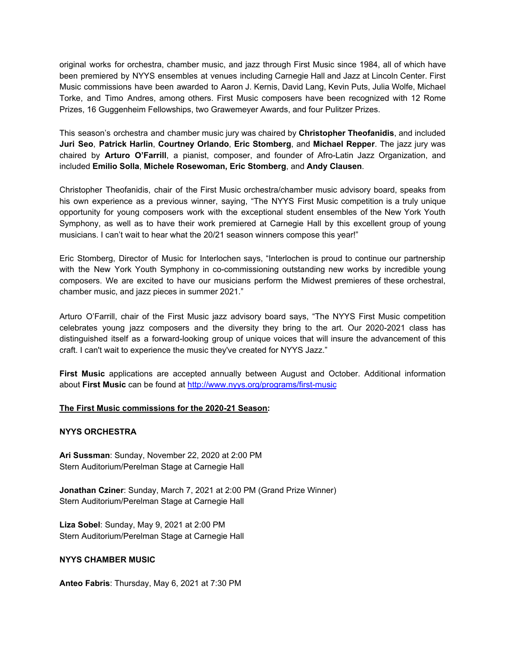original works for orchestra, chamber music, and jazz through First Music since 1984, all of which have been premiered by NYYS ensembles at venues including Carnegie Hall and Jazz at Lincoln Center. First Music commissions have been awarded to Aaron J. Kernis, David Lang, Kevin Puts, Julia Wolfe, Michael Torke, and Timo Andres, among others. First Music composers have been recognized with 12 Rome Prizes, 16 Guggenheim Fellowships, two Grawemeyer Awards, and four Pulitzer Prizes.

This season's orchestra and chamber music jury was chaired by **Christopher Theofanidis**, and included **Juri Seo**, **Patrick Harlin**, **Courtney Orlando**, **Eric Stomberg**, and **Michael Repper**. The jazz jury was chaired by **Arturo O'Farrill**, a pianist, composer, and founder of Afro-Latin Jazz Organization, and included **Emilio Solla**, **Michele Rosewoman, Eric Stomberg**, and **Andy Clausen**.

Christopher Theofanidis, chair of the First Music orchestra/chamber music advisory board, speaks from his own experience as a previous winner, saying, "The NYYS First Music competition is a truly unique opportunity for young composers work with the exceptional student ensembles of the New York Youth Symphony, as well as to have their work premiered at Carnegie Hall by this excellent group of young musicians. I can't wait to hear what the 20/21 season winners compose this year!"

Eric Stomberg, Director of Music for Interlochen says, "Interlochen is proud to continue our partnership with the New York Youth Symphony in co-commissioning outstanding new works by incredible young composers. We are excited to have our musicians perform the Midwest premieres of these orchestral, chamber music, and jazz pieces in summer 2021."

Arturo O'Farrill, chair of the First Music jazz advisory board says, "The NYYS First Music competition celebrates young jazz composers and the diversity they bring to the art. Our 2020-2021 class has distinguished itself as a forward-looking group of unique voices that will insure the advancement of this craft. I can't wait to experience the music they've created for NYYS Jazz."

**First Music** applications are accepted annually between August and October. Additional information about **First Music** can be found at [http://www.nyys.org/programs/first-music](https://u7061146.ct.sendgrid.net/wf/click?upn=84Em28S1K9SvtzcUtu04Enahs6TwF6CuzomfznfW5B6qlRtbpvkEGwATmgOzVQu5_DruDjhchMBr5xQkz3h1qcOnjZc-2BCsAVhraQ7DxYhbA2-2BHLQf-2BHKWaWi2FTM7QHo-2Fd7eCMDRMAhfd2mcWSs-2FpzNW9MmuPwV7rH-2FbDd7DdSSYIZ4fdlwDoe7u1XrCToYNfUj0M7GvkeJwGs11pNm9xR4NUojkWEvzX1nJRPdQkVi5jc7xnMtd94B9LE3p8e8wcHTDIWWoFghluZ-2BgoJ37sXZr8thKrC6i6ujTBWPKGdgS09-2FU1zFnb1lQmzR-2FfhSZmynoz7ylI-2FnJxIM-2BXAA2Oedn-2FxT-2F70EjihTG1mwZTj6z0fAG-2BO4ah2mtu90-2FoE6OrKqJbh6xtAlqi-2BwtL-2Fv-2BDL-2Bo4UzPshQQseH8eyOHrJ4s-3D)

### **The First Music commissions for the 2020-21 Season:**

### **NYYS ORCHESTRA**

**Ari Sussman**: Sunday, November 22, 2020 at 2:00 PM Stern Auditorium/Perelman Stage at Carnegie Hall

**Jonathan Cziner**: Sunday, March 7, 2021 at 2:00 PM (Grand Prize Winner) Stern Auditorium/Perelman Stage at Carnegie Hall

**Liza Sobel**: Sunday, May 9, 2021 at 2:00 PM Stern Auditorium/Perelman Stage at Carnegie Hall

### **NYYS CHAMBER MUSIC**

**Anteo Fabris**: Thursday, May 6, 2021 at 7:30 PM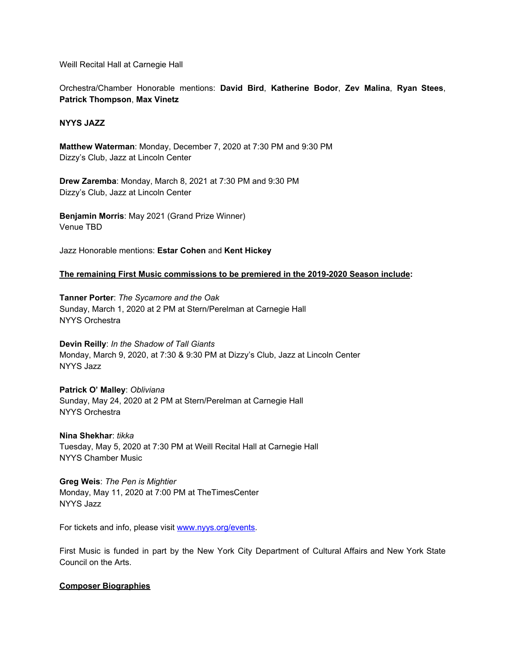Weill Recital Hall at Carnegie Hall

Orchestra/Chamber Honorable mentions: **David Bird**, **Katherine Bodor**, **Zev Malina**, **Ryan Stees**, **Patrick Thompson**, **Max Vinetz**

### **NYYS JAZZ**

**Matthew Waterman**: Monday, December 7, 2020 at 7:30 PM and 9:30 PM Dizzy's Club, Jazz at Lincoln Center

**Drew Zaremba**: Monday, March 8, 2021 at 7:30 PM and 9:30 PM Dizzy's Club, Jazz at Lincoln Center

**Benjamin Morris**: May 2021 (Grand Prize Winner) Venue TBD

Jazz Honorable mentions: **Estar Cohen** and **Kent Hickey**

**The remaining First Music commissions to be premiered in the 2019-2020 Season include:**

**Tanner Porter**: *The Sycamore and the Oak* Sunday, March 1, 2020 at 2 PM at Stern/Perelman at Carnegie Hall NYYS Orchestra

**Devin Reilly**: *In the Shadow of Tall Giants* Monday, March 9, 2020, at 7:30 & 9:30 PM at Dizzy's Club, Jazz at Lincoln Center NYYS Jazz

**Patrick O' Malley**: *Obliviana* Sunday, May 24, 2020 at 2 PM at Stern/Perelman at Carnegie Hall NYYS Orchestra

**Nina Shekhar**: *tikka* Tuesday, May 5, 2020 at 7:30 PM at Weill Recital Hall at Carnegie Hall NYYS Chamber Music

**Greg Weis**: *The Pen is Mightier* Monday, May 11, 2020 at 7:00 PM at TheTimesCenter NYYS Jazz

For tickets and info, please visit [www.nyys.org/events.](https://u7061146.ct.sendgrid.net/wf/click?upn=84Em28S1K9SvtzcUtu04EvrLdhrhz0RQ6YNkHwQNHxWFJGJNK3QN28wLTPw3yGLi_DruDjhchMBr5xQkz3h1qcOnjZc-2BCsAVhraQ7DxYhbA2-2BHLQf-2BHKWaWi2FTM7QHo-2Fd7eCMDRMAhfd2mcWSs-2FpzNW9MmuPwV7rH-2FbDd7DdSSYIZ4fdlwDoe7u1XrCToYNfUj0M7GvkeJwGs11pNm9xR4NUojkWEvzX1nJRPdQkVi5jc7xnMtd94B9LE3p8e8wcHTDIWWoFghluZ-2BgoJ37sXQUr4-2Blx8oc-2BjQJcWRP22-2FO-2BkuhrAcDBtx1hl5bO8ocguQtLxAyd5KXIMP-2BUT3P6JIkZDe5W2DO-2Bs1atx2-2BXTtH7TILydxN850TEvh5E5iVwDGk37RX9ynLALmrg2fhZid-2BNr3TyNqNzGX-2BvlDlFD8w-3D)

First Music is funded in part by the New York City Department of Cultural Affairs and New York State Council on the Arts.

### **Composer Biographies**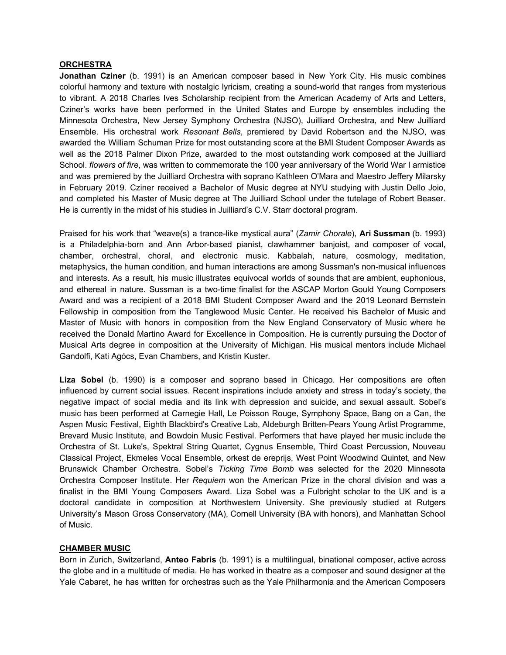#### **ORCHESTRA**

**Jonathan Cziner** (b. 1991) is an American composer based in New York City. His music combines colorful harmony and texture with nostalgic lyricism, creating a sound-world that ranges from mysterious to vibrant. A 2018 Charles Ives Scholarship recipient from the American Academy of Arts and Letters, Cziner's works have been performed in the United States and Europe by ensembles including the Minnesota Orchestra, New Jersey Symphony Orchestra (NJSO), Juilliard Orchestra, and New Juilliard Ensemble. His orchestral work *Resonant Bells*, premiered by David Robertson and the NJSO, was awarded the William Schuman Prize for most outstanding score at the BMI Student Composer Awards as well as the 2018 Palmer Dixon Prize, awarded to the most outstanding work composed at the Juilliard School. *flowers of fire*, was written to commemorate the 100 year anniversary of the World War I armistice and was premiered by the Juilliard Orchestra with soprano Kathleen O'Mara and Maestro Jeffery Milarsky in February 2019. Cziner received a Bachelor of Music degree at NYU studying with Justin Dello Joio, and completed his Master of Music degree at The Juilliard School under the tutelage of Robert Beaser. He is currently in the midst of his studies in Juilliard's C.V. Starr doctoral program.

Praised for his work that "weave(s) a trance-like mystical aura" (*Zamir Chorale*), **Ari Sussman** (b. 1993) is a Philadelphia-born and Ann Arbor-based pianist, clawhammer banjoist, and composer of vocal, chamber, orchestral, choral, and electronic music. Kabbalah, nature, cosmology, meditation, metaphysics, the human condition, and human interactions are among Sussman's non-musical influences and interests. As a result, his music illustrates equivocal worlds of sounds that are ambient, euphonious, and ethereal in nature. Sussman is a two-time finalist for the ASCAP Morton Gould Young Composers Award and was a recipient of a 2018 BMI Student Composer Award and the 2019 Leonard Bernstein Fellowship in composition from the Tanglewood Music Center. He received his Bachelor of Music and Master of Music with honors in composition from the New England Conservatory of Music where he received the Donald Martino Award for Excellence in Composition. He is currently pursuing the Doctor of Musical Arts degree in composition at the University of Michigan. His musical mentors include Michael Gandolfi, Kati Agócs, Evan Chambers, and Kristin Kuster.

**Liza Sobel** (b. 1990) is a composer and soprano based in Chicago. Her compositions are often influenced by current social issues. Recent inspirations include anxiety and stress in today's society, the negative impact of social media and its link with depression and suicide, and sexual assault. Sobel's music has been performed at Carnegie Hall, Le Poisson Rouge, Symphony Space, Bang on a Can, the Aspen Music Festival, Eighth Blackbird's Creative Lab, Aldeburgh Britten-Pears Young Artist Programme, Brevard Music Institute, and Bowdoin Music Festival. Performers that have played her music include the Orchestra of St. Luke's, Spektral String Quartet, Cygnus Ensemble, Third Coast Percussion, Nouveau Classical Project, Ekmeles Vocal Ensemble, orkest de ereprijs, West Point Woodwind Quintet, and New Brunswick Chamber Orchestra. Sobel's *Ticking Time Bomb* was selected for the 2020 Minnesota Orchestra Composer Institute. Her *Requiem* won the American Prize in the choral division and was a finalist in the BMI Young Composers Award. Liza Sobel was a Fulbright scholar to the UK and is a doctoral candidate in composition at Northwestern University. She previously studied at Rutgers University's Mason Gross Conservatory (MA), Cornell University (BA with honors), and Manhattan School of Music.

### **CHAMBER MUSIC**

Born in Zurich, Switzerland, **Anteo Fabris** (b. 1991) is a multilingual, binational composer, active across the globe and in a multitude of media. He has worked in theatre as a composer and sound designer at the Yale Cabaret, he has written for orchestras such as the Yale Philharmonia and the American Composers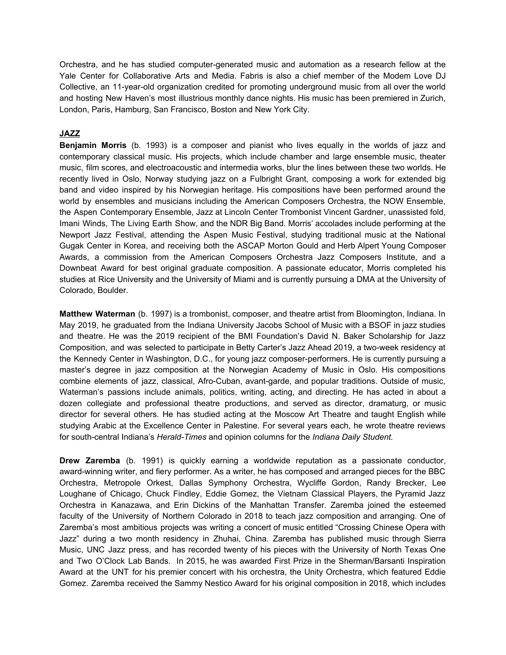Orchestra, and he has studied computer-generated music and automation as a research fellow at the Yale Center for Collaborative Arts and Media. Fabris is also a chief member of the Modem Love DJ Collective, an 11-year-old organization credited for promoting underground music from all over the world and hosting New Haven's most illustrious monthly dance nights. His music has been premiered in Zurich, London, Paris, Hamburg, San Francisco, Boston and New York City.

### **JAZZ**

**Benjamin Morris** (b. 1993) is a composer and pianist who lives equally in the worlds of jazz and contemporary classical music. His projects, which include chamber and large ensemble music, theater music, film scores, and electroacoustic and intermedia works, blur the lines between these two worlds. He recently lived in Oslo, Norway studying jazz on a Fulbright Grant, composing a work for extended big band and video inspired by his Norwegian heritage. His compositions have been performed around the world by ensembles and musicians including the American Composers Orchestra, the NOW Ensemble, the Aspen Contemporary Ensemble, Jazz at Lincoln Center Trombonist Vincent Gardner, unassisted fold, Imani Winds, The Living Earth Show, and the NDR Big Band. Morris' accolades include performing at the Newport Jazz Festival, attending the Aspen Music Festival, studying traditional music at the National Gugak Center in Korea, and receiving both the ASCAP Morton Gould and Herb Alpert Young Composer Awards, a commission from the American Composers Orchestra Jazz Composers Institute, and a Downbeat Award for best original graduate composition. A passionate educator, Morris completed his studies at Rice University and the University of Miami and is currently pursuing a DMA at the University of Colorado, Boulder.

**Matthew Waterman** (b. 1997) is a trombonist, composer, and theatre artist from Bloomington, Indiana. In May 2019, he graduated from the Indiana University Jacobs School of Music with a BSOF in jazz studies and theatre. He was the 2019 recipient of the BMI Foundation's David N. Baker Scholarship for Jazz Composition, and was selected to participate in Betty Carter's Jazz Ahead 2019, a two-week residency at the Kennedy Center in Washington, D.C., for young jazz composer-performers. He is currently pursuing a master's degree in jazz composition at the Norwegian Academy of Music in Oslo. His compositions combine elements of jazz, classical, Afro-Cuban, avant-garde, and popular traditions. Outside of music, Waterman's passions include animals, politics, writing, acting, and directing. He has acted in about a dozen collegiate and professional theatre productions, and served as director, dramaturg, or music director for several others. He has studied acting at the Moscow Art Theatre and taught English while studying Arabic at the Excellence Center in Palestine. For several years each, he wrote theatre reviews for south-central Indiana's *Herald-Times* and opinion columns for the *Indiana Daily Student.*

**Drew Zaremba** (b. 1991) is quickly earning a worldwide reputation as a passionate conductor, award-winning writer, and fiery performer. As a writer, he has composed and arranged pieces for the BBC Orchestra, Metropole Orkest, Dallas Symphony Orchestra, Wycliffe Gordon, Randy Brecker, Lee Loughane of Chicago, Chuck Findley, Eddie Gomez, the Vietnam Classical Players, the Pyramid Jazz Orchestra in Kanazawa, and Erin Dickins of the Manhattan Transfer. Zaremba joined the esteemed faculty of the University of Northern Colorado in 2018 to teach jazz composition and arranging. One of Zaremba's most ambitious projects was writing a concert of music entitled "Crossing Chinese Opera with Jazz" during a two month residency in Zhuhai, China. Zaremba has published music through Sierra Music, UNC Jazz press, and has recorded twenty of his pieces with the University of North Texas One and Two O'Clock Lab Bands. In 2015, he was awarded First Prize in the Sherman/Barsanti Inspiration Award at the UNT for his premier concert with his orchestra, the Unity Orchestra, which featured Eddie Gomez. Zaremba received the Sammy Nestico Award for his original composition in 2018, which includes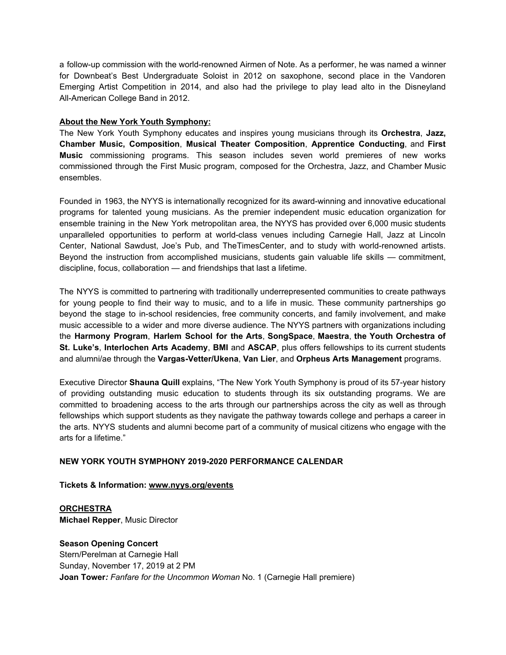a follow-up commission with the world-renowned Airmen of Note. As a performer, he was named a winner for Downbeat's Best Undergraduate Soloist in 2012 on saxophone, second place in the Vandoren Emerging Artist Competition in 2014, and also had the privilege to play lead alto in the Disneyland All-American College Band in 2012.

### **About the New York Youth Symphony:**

The New York Youth Symphony educates and inspires young musicians through its **Orchestra**, **Jazz, Chamber Music, Composition**, **Musical Theater Composition**, **Apprentice Conducting**, and **First Music** commissioning programs. This season includes seven world premieres of new works commissioned through the First Music program, composed for the Orchestra, Jazz, and Chamber Music ensembles.

Founded in 1963, the NYYS is internationally recognized for its award-winning and innovative educational programs for talented young musicians. As the premier independent music education organization for ensemble training in the New York metropolitan area, the NYYS has provided over 6,000 music students unparalleled opportunities to perform at world-class venues including Carnegie Hall, Jazz at Lincoln Center, National Sawdust, Joe's Pub, and TheTimesCenter, and to study with world-renowned artists. Beyond the instruction from accomplished musicians, students gain valuable life skills — commitment, discipline, focus, collaboration — and friendships that last a lifetime.

The NYYS is committed to partnering with traditionally underrepresented communities to create pathways for young people to find their way to music, and to a life in music. These community partnerships go beyond the stage to in-school residencies, free community concerts, and family involvement, and make music accessible to a wider and more diverse audience. The NYYS partners with organizations including the **Harmony Program**, **Harlem School for the Arts**, **SongSpace**, **Maestra**, **the Youth Orchestra of St. Luke's**, **Interlochen Arts Academy**, **BMI** and **ASCAP**, plus offers fellowships to its current students and alumni/ae through the **Vargas-Vetter/Ukena**, **Van Lier**, and **Orpheus Arts Management** programs.

Executive Director **Shauna Quill** explains, "The New York Youth Symphony is proud of its 57-year history of providing outstanding music education to students through its six outstanding programs. We are committed to broadening access to the arts through our partnerships across the city as well as through fellowships which support students as they navigate the pathway towards college and perhaps a career in the arts. NYYS students and alumni become part of a community of musical citizens who engage with the arts for a lifetime."

### **NEW YORK YOUTH SYMPHONY 2019-2020 PERFORMANCE CALENDAR**

**Tickets & Information: [www.nyys.org/events](https://u7061146.ct.sendgrid.net/wf/click?upn=84Em28S1K9SvtzcUtu04EvrLdhrhz0RQ6YNkHwQNHxWFJGJNK3QN28wLTPw3yGLi_DruDjhchMBr5xQkz3h1qcOnjZc-2BCsAVhraQ7DxYhbA2-2BHLQf-2BHKWaWi2FTM7QHo-2Fd7eCMDRMAhfd2mcWSs-2FpzNW9MmuPwV7rH-2FbDd7DdSSYIZ4fdlwDoe7u1XrCToYNfUj0M7GvkeJwGs11pNm9xR4NUojkWEvzX1nJRPdQkVi5jc7xnMtd94B9LE3p8e8wcHTDIWWoFghluZ-2BgoJ37sXYf8lgaBdLzV2OrL9aA1FDhqUwwOHtz8HYfDUyaZ49pudxZddB57-2BwIeV78Y999CpcEob1Qfkji-2BpuIRmX53gx8PrACNcosF2p3Amq7BpYzjkCzsHn4Q5BInr8l6sHXPPmBCgkfMuPHs-2Bho9d2T-2FRkU-3D)**

**ORCHESTRA Michael Repper**, Music Director

### **Season Opening Concert** Stern/Perelman at Carnegie Hall Sunday, November 17, 2019 at 2 PM **Joan Tower***: Fanfare for the Uncommon Woman* No. 1 (Carnegie Hall premiere)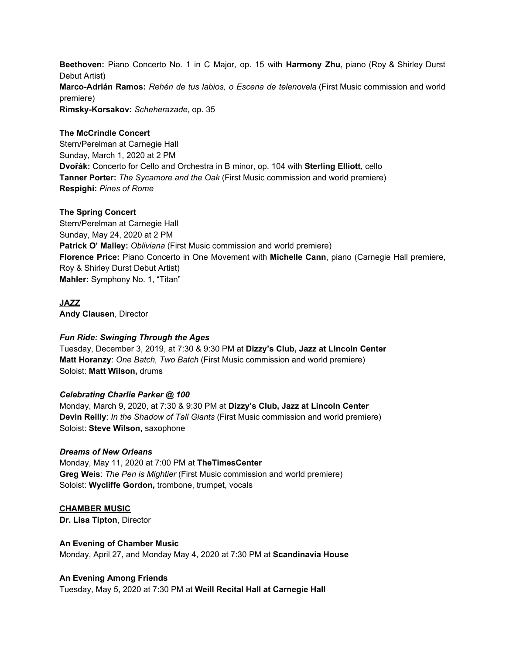**Beethoven:** Piano Concerto No. 1 in C Major, op. 15 with **Harmony Zhu**, piano (Roy & Shirley Durst Debut Artist) **Marco-Adrián Ramos:** *Rehén de tus labios, o Escena de telenovela* (First Music commission and world premiere) **Rimsky-Korsakov:** *Scheherazade*, op. 35

### **The McCrindle Concert**

Stern/Perelman at Carnegie Hall Sunday, March 1, 2020 at 2 PM **Dvořák:** Concerto for Cello and Orchestra in B minor, op. 104 with **Sterling Elliott**, cello **Tanner Porter:** *The Sycamore and the Oak* (First Music commission and world premiere) **Respighi:** *Pines of Rome*

### **The Spring Concert**

Stern/Perelman at Carnegie Hall Sunday, May 24, 2020 at 2 PM **Patrick O' Malley:** *Obliviana* (First Music commission and world premiere) **Florence Price:** Piano Concerto in One Movement with **Michelle Cann**, piano (Carnegie Hall premiere, Roy & Shirley Durst Debut Artist) **Mahler:** Symphony No. 1, "Titan"

### **JAZZ**

**Andy Clausen**, Director

### *Fun Ride: Swinging Through the Ages*

Tuesday, December 3, 2019, at 7:30 & 9:30 PM at **Dizzy's Club, Jazz at Lincoln Center Matt Horanzy**: *One Batch, Two Batch* (First Music commission and world premiere) Soloist: **Matt Wilson,** drums

### *Celebrating Charlie Parker @ 100*

Monday, March 9, 2020, at 7:30 & 9:30 PM at **Dizzy's Club, Jazz at Lincoln Center Devin Reilly**: *In the Shadow of Tall Giants* (First Music commission and world premiere) Soloist: **Steve Wilson,** saxophone

### *Dreams of New Orleans*

Monday, May 11, 2020 at 7:00 PM at **TheTimesCenter Greg Weis**: *The Pen is Mightier* (First Music commission and world premiere) Soloist: **Wycliffe Gordon,** trombone, trumpet, vocals

### **CHAMBER MUSIC**

**Dr. Lisa Tipton**, Director

### **An Evening of Chamber Music**

Monday, April 27, and Monday May 4, 2020 at 7:30 PM at **Scandinavia House**

### **An Evening Among Friends**

Tuesday, May 5, 2020 at 7:30 PM at **Weill Recital Hall at Carnegie Hall**